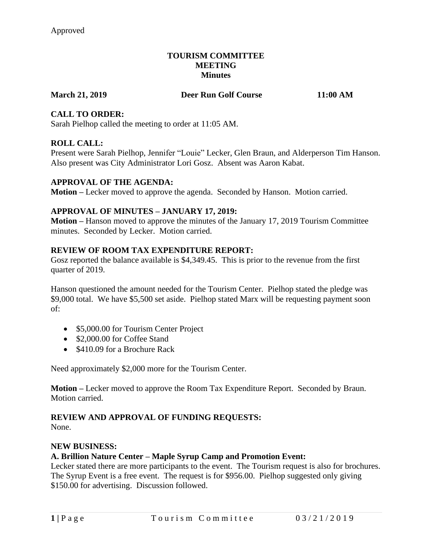#### **TOURISM COMMITTEE MEETING Minutes**

**March 21, 2019 Deer Run Golf Course 11:00 AM**

# **CALL TO ORDER:**

Sarah Pielhop called the meeting to order at 11:05 AM.

# **ROLL CALL:**

Present were Sarah Pielhop, Jennifer "Louie" Lecker, Glen Braun, and Alderperson Tim Hanson. Also present was City Administrator Lori Gosz. Absent was Aaron Kabat.

# **APPROVAL OF THE AGENDA:**

**Motion –** Lecker moved to approve the agenda. Seconded by Hanson. Motion carried.

# **APPROVAL OF MINUTES – JANUARY 17, 2019:**

**Motion –** Hanson moved to approve the minutes of the January 17, 2019 Tourism Committee minutes. Seconded by Lecker. Motion carried.

#### **REVIEW OF ROOM TAX EXPENDITURE REPORT:**

Gosz reported the balance available is \$4,349.45. This is prior to the revenue from the first quarter of 2019.

Hanson questioned the amount needed for the Tourism Center. Pielhop stated the pledge was \$9,000 total. We have \$5,500 set aside. Pielhop stated Marx will be requesting payment soon of:

- \$5,000.00 for Tourism Center Project
- \$2,000.00 for Coffee Stand
- \$410.09 for a Brochure Rack

Need approximately \$2,000 more for the Tourism Center.

**Motion –** Lecker moved to approve the Room Tax Expenditure Report. Seconded by Braun. Motion carried.

# **REVIEW AND APPROVAL OF FUNDING REQUESTS:**

None.

# **NEW BUSINESS:**

# **A. Brillion Nature Center – Maple Syrup Camp and Promotion Event:**

Lecker stated there are more participants to the event. The Tourism request is also for brochures. The Syrup Event is a free event. The request is for \$956.00. Pielhop suggested only giving \$150.00 for advertising. Discussion followed.